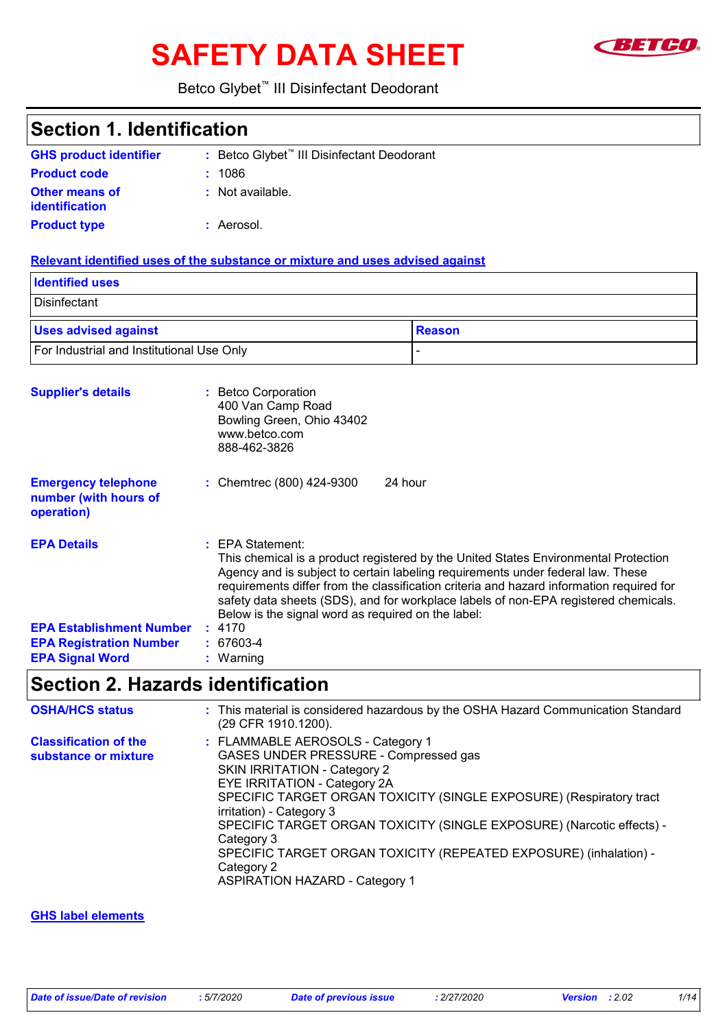# SAFETY DATA SHEET **SAFETY**



### Betco Glybet™ III Disinfectant Deodorant

| <b>Section 1. Identification</b>                                  |                                                                                                                                                                                                                                                                                                                                                                                                                                          |               |
|-------------------------------------------------------------------|------------------------------------------------------------------------------------------------------------------------------------------------------------------------------------------------------------------------------------------------------------------------------------------------------------------------------------------------------------------------------------------------------------------------------------------|---------------|
| <b>GHS product identifier</b>                                     | : Betco Glybet <sup>™</sup> III Disinfectant Deodorant                                                                                                                                                                                                                                                                                                                                                                                   |               |
| <b>Product code</b>                                               | 1086                                                                                                                                                                                                                                                                                                                                                                                                                                     |               |
| <b>Other means of</b><br>identification                           | : Not available.                                                                                                                                                                                                                                                                                                                                                                                                                         |               |
| <b>Product type</b>                                               | : Aerosol.                                                                                                                                                                                                                                                                                                                                                                                                                               |               |
|                                                                   | Relevant identified uses of the substance or mixture and uses advised against                                                                                                                                                                                                                                                                                                                                                            |               |
| <b>Identified uses</b>                                            |                                                                                                                                                                                                                                                                                                                                                                                                                                          |               |
| Disinfectant                                                      |                                                                                                                                                                                                                                                                                                                                                                                                                                          |               |
| <b>Uses advised against</b>                                       |                                                                                                                                                                                                                                                                                                                                                                                                                                          | <b>Reason</b> |
| For Industrial and Institutional Use Only                         |                                                                                                                                                                                                                                                                                                                                                                                                                                          |               |
| <b>Supplier's details</b>                                         | : Betco Corporation<br>400 Van Camp Road<br>Bowling Green, Ohio 43402<br>www.betco.com<br>888-462-3826                                                                                                                                                                                                                                                                                                                                   |               |
| <b>Emergency telephone</b><br>number (with hours of<br>operation) | : Chemtrec (800) 424-9300<br>24 hour                                                                                                                                                                                                                                                                                                                                                                                                     |               |
| <b>EPA Details</b>                                                | <b>EPA Statement:</b><br>This chemical is a product registered by the United States Environmental Protection<br>Agency and is subject to certain labeling requirements under federal law. These<br>requirements differ from the classification criteria and hazard information required for<br>safety data sheets (SDS), and for workplace labels of non-EPA registered chemicals.<br>Below is the signal word as required on the label: |               |
| <b>EPA Establishment Number</b>                                   | : 4170                                                                                                                                                                                                                                                                                                                                                                                                                                   |               |
| <b>EPA Registration Number</b>                                    | 67603-4                                                                                                                                                                                                                                                                                                                                                                                                                                  |               |
| <b>EPA Signal Word</b>                                            | Warning                                                                                                                                                                                                                                                                                                                                                                                                                                  |               |

# **Section 2. Hazards identification**

| <b>OSHA/HCS status</b>                               | : This material is considered hazardous by the OSHA Hazard Communication Standard<br>(29 CFR 1910.1200).                                                                                                                                                                                                                                                                                                                                                         |
|------------------------------------------------------|------------------------------------------------------------------------------------------------------------------------------------------------------------------------------------------------------------------------------------------------------------------------------------------------------------------------------------------------------------------------------------------------------------------------------------------------------------------|
| <b>Classification of the</b><br>substance or mixture | : FLAMMABLE AEROSOLS - Category 1<br>GASES UNDER PRESSURE - Compressed gas<br>SKIN IRRITATION - Category 2<br>EYE IRRITATION - Category 2A<br>SPECIFIC TARGET ORGAN TOXICITY (SINGLE EXPOSURE) (Respiratory tract<br>irritation) - Category 3<br>SPECIFIC TARGET ORGAN TOXICITY (SINGLE EXPOSURE) (Narcotic effects) -<br>Category 3<br>SPECIFIC TARGET ORGAN TOXICITY (REPEATED EXPOSURE) (inhalation) -<br>Category 2<br><b>ASPIRATION HAZARD - Category 1</b> |

#### **GHS label elements**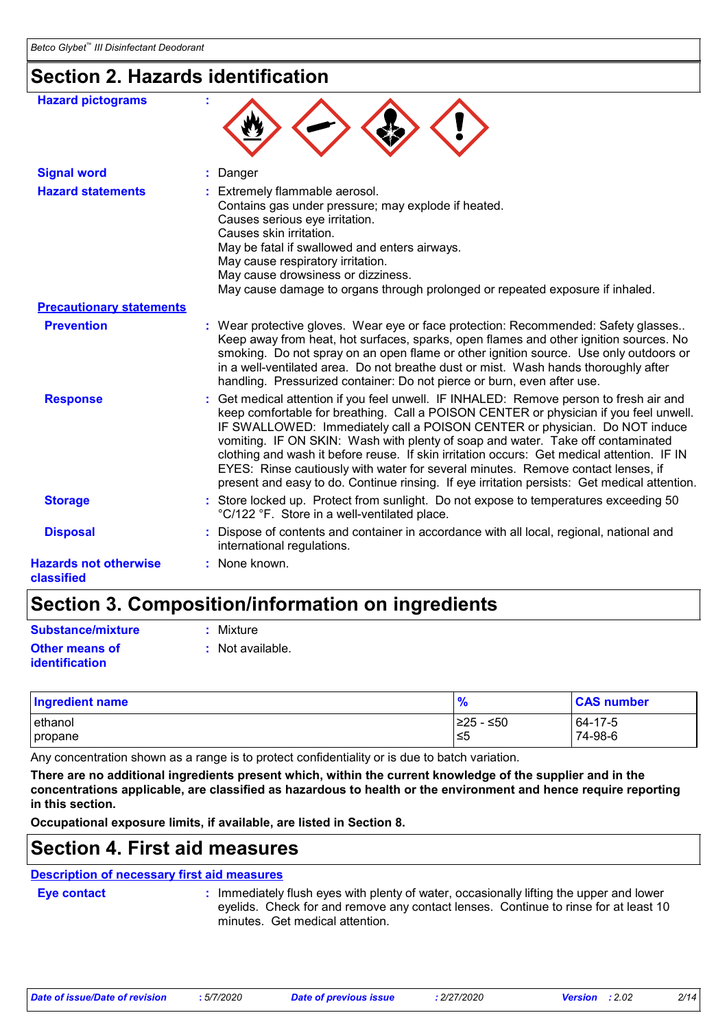### **Section 2. Hazards identification**

| <b>Hazard pictograms</b>                   |                                                                                                                                                                                                                                                                                                                                                                                                                                                                                                                                                                                                                                    |
|--------------------------------------------|------------------------------------------------------------------------------------------------------------------------------------------------------------------------------------------------------------------------------------------------------------------------------------------------------------------------------------------------------------------------------------------------------------------------------------------------------------------------------------------------------------------------------------------------------------------------------------------------------------------------------------|
| <b>Signal word</b>                         | : Danger                                                                                                                                                                                                                                                                                                                                                                                                                                                                                                                                                                                                                           |
| <b>Hazard statements</b>                   | : Extremely flammable aerosol.<br>Contains gas under pressure; may explode if heated.<br>Causes serious eye irritation.<br>Causes skin irritation.<br>May be fatal if swallowed and enters airways.<br>May cause respiratory irritation.<br>May cause drowsiness or dizziness.<br>May cause damage to organs through prolonged or repeated exposure if inhaled.                                                                                                                                                                                                                                                                    |
| <b>Precautionary statements</b>            |                                                                                                                                                                                                                                                                                                                                                                                                                                                                                                                                                                                                                                    |
| <b>Prevention</b>                          | : Wear protective gloves. Wear eye or face protection: Recommended: Safety glasses<br>Keep away from heat, hot surfaces, sparks, open flames and other ignition sources. No<br>smoking. Do not spray on an open flame or other ignition source. Use only outdoors or<br>in a well-ventilated area. Do not breathe dust or mist. Wash hands thoroughly after<br>handling. Pressurized container: Do not pierce or burn, even after use.                                                                                                                                                                                             |
| <b>Response</b>                            | : Get medical attention if you feel unwell. IF INHALED: Remove person to fresh air and<br>keep comfortable for breathing. Call a POISON CENTER or physician if you feel unwell.<br>IF SWALLOWED: Immediately call a POISON CENTER or physician. Do NOT induce<br>vomiting. IF ON SKIN: Wash with plenty of soap and water. Take off contaminated<br>clothing and wash it before reuse. If skin irritation occurs: Get medical attention. IF IN<br>EYES: Rinse cautiously with water for several minutes. Remove contact lenses, if<br>present and easy to do. Continue rinsing. If eye irritation persists: Get medical attention. |
| <b>Storage</b>                             | : Store locked up. Protect from sunlight. Do not expose to temperatures exceeding 50<br>°C/122 °F. Store in a well-ventilated place.                                                                                                                                                                                                                                                                                                                                                                                                                                                                                               |
| <b>Disposal</b>                            | : Dispose of contents and container in accordance with all local, regional, national and<br>international regulations.                                                                                                                                                                                                                                                                                                                                                                                                                                                                                                             |
| <b>Hazards not otherwise</b><br>classified | : None known.                                                                                                                                                                                                                                                                                                                                                                                                                                                                                                                                                                                                                      |

### **Section 3. Composition/information on ingredients**

| Substance/mixture                              | : Mixture          |
|------------------------------------------------|--------------------|
| <b>Other means of</b><br><b>identification</b> | $:$ Not available. |

| <b>Ingredient name</b> | $\frac{9}{6}$ | <b>CAS number</b> |
|------------------------|---------------|-------------------|
| ethanol                | 225 - ≤50     | 64-17-5           |
| propane                | l≤5           | 74-98-6           |

Any concentration shown as a range is to protect confidentiality or is due to batch variation.

**There are no additional ingredients present which, within the current knowledge of the supplier and in the concentrations applicable, are classified as hazardous to health or the environment and hence require reporting in this section.**

**Occupational exposure limits, if available, are listed in Section 8.**

### **Section 4. First aid measures**

#### : Immediately flush eyes with plenty of water, occasionally lifting the upper and lower **Eye contact : Description of necessary first aid measures**

eyelids. Check for and remove any contact lenses. Continue to rinse for at least 10 minutes. Get medical attention.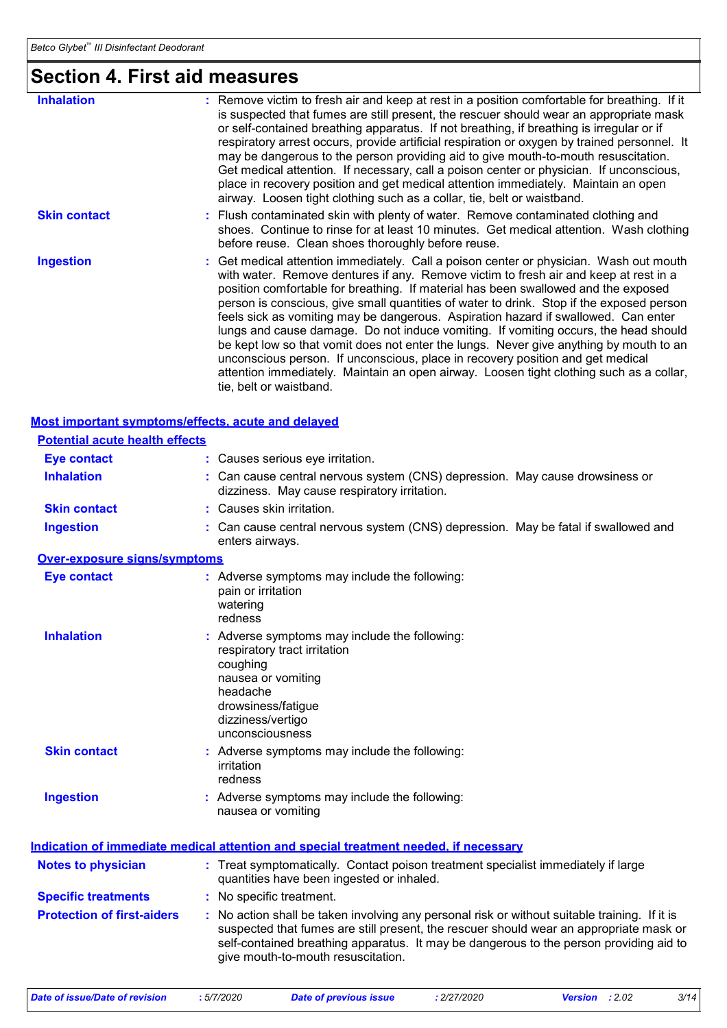**Ingestion :**

**Over-exposure signs/symptoms**

### **Section 4. First aid measures**

| <b>Inhalation</b>                     | : Remove victim to fresh air and keep at rest in a position comfortable for breathing. If it<br>is suspected that fumes are still present, the rescuer should wear an appropriate mask<br>or self-contained breathing apparatus. If not breathing, if breathing is irregular or if<br>respiratory arrest occurs, provide artificial respiration or oxygen by trained personnel. It<br>may be dangerous to the person providing aid to give mouth-to-mouth resuscitation.<br>Get medical attention. If necessary, call a poison center or physician. If unconscious,<br>place in recovery position and get medical attention immediately. Maintain an open<br>airway. Loosen tight clothing such as a collar, tie, belt or waistband.                                                                                                            |
|---------------------------------------|-------------------------------------------------------------------------------------------------------------------------------------------------------------------------------------------------------------------------------------------------------------------------------------------------------------------------------------------------------------------------------------------------------------------------------------------------------------------------------------------------------------------------------------------------------------------------------------------------------------------------------------------------------------------------------------------------------------------------------------------------------------------------------------------------------------------------------------------------|
| <b>Skin contact</b>                   | : Flush contaminated skin with plenty of water. Remove contaminated clothing and<br>shoes. Continue to rinse for at least 10 minutes. Get medical attention. Wash clothing<br>before reuse. Clean shoes thoroughly before reuse.                                                                                                                                                                                                                                                                                                                                                                                                                                                                                                                                                                                                                |
| <b>Ingestion</b>                      | : Get medical attention immediately. Call a poison center or physician. Wash out mouth<br>with water. Remove dentures if any. Remove victim to fresh air and keep at rest in a<br>position comfortable for breathing. If material has been swallowed and the exposed<br>person is conscious, give small quantities of water to drink. Stop if the exposed person<br>feels sick as vomiting may be dangerous. Aspiration hazard if swallowed. Can enter<br>lungs and cause damage. Do not induce vomiting. If vomiting occurs, the head should<br>be kept low so that vomit does not enter the lungs. Never give anything by mouth to an<br>unconscious person. If unconscious, place in recovery position and get medical<br>attention immediately. Maintain an open airway. Loosen tight clothing such as a collar,<br>tie, belt or waistband. |
|                                       | Most important symptoms/effects, acute and delayed                                                                                                                                                                                                                                                                                                                                                                                                                                                                                                                                                                                                                                                                                                                                                                                              |
| <b>Potential acute health effects</b> |                                                                                                                                                                                                                                                                                                                                                                                                                                                                                                                                                                                                                                                                                                                                                                                                                                                 |
| Eye contact                           | : Causes serious eye irritation.                                                                                                                                                                                                                                                                                                                                                                                                                                                                                                                                                                                                                                                                                                                                                                                                                |
| <b>Inhalation</b>                     | : Can cause central nervous system (CNS) depression. May cause drowsiness or                                                                                                                                                                                                                                                                                                                                                                                                                                                                                                                                                                                                                                                                                                                                                                    |

**Eye contact :** Adverse symptoms may include the following: pain or irritation watering redness

Can cause central nervous system (CNS) depression. May be fatal if swallowed and

dizziness. May cause respiratory irritation.

| <b>Inhalation</b>   | : Adverse symptoms may include the following:<br>respiratory tract irritation<br>coughing<br>nausea or vomiting<br>headache<br>drowsiness/fatigue<br>dizziness/vertigo<br>unconsciousness |
|---------------------|-------------------------------------------------------------------------------------------------------------------------------------------------------------------------------------------|
| <b>Skin contact</b> | : Adverse symptoms may include the following:<br>irritation<br>redness                                                                                                                    |

enters airways.

**Skin contact :** Causes skin irritation.

**Ingestion** Adverse symptoms may include the following: **:** nausea or vomiting

|                                   | <u>Indication of immediate medical attention and special treatment needed, if necessary</u>                                                                                                                                                                                                                             |
|-----------------------------------|-------------------------------------------------------------------------------------------------------------------------------------------------------------------------------------------------------------------------------------------------------------------------------------------------------------------------|
| <b>Notes to physician</b>         | : Treat symptomatically. Contact poison treatment specialist immediately if large<br>quantities have been ingested or inhaled.                                                                                                                                                                                          |
| <b>Specific treatments</b>        | : No specific treatment.                                                                                                                                                                                                                                                                                                |
| <b>Protection of first-aiders</b> | : No action shall be taken involving any personal risk or without suitable training. If it is<br>suspected that fumes are still present, the rescuer should wear an appropriate mask or<br>self-contained breathing apparatus. It may be dangerous to the person providing aid to<br>give mouth-to-mouth resuscitation. |

*Date of issue/Date of revision* **:** *5/7/2020 Date of previous issue : 2/27/2020 Version : 2.02 3/14*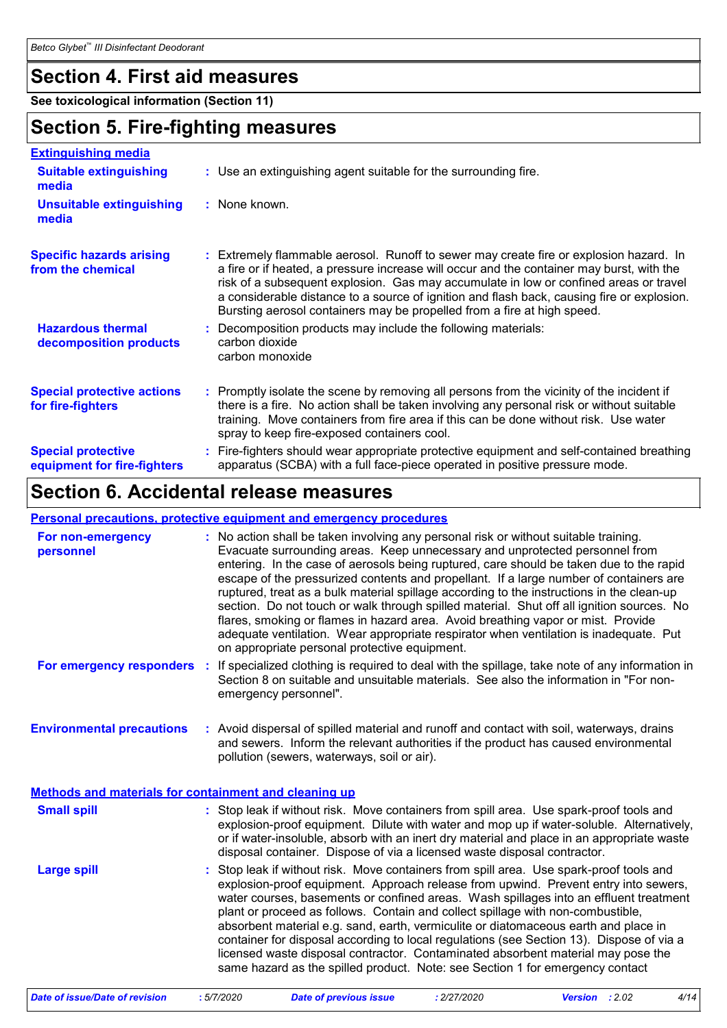### **Section 4. First aid measures**

**See toxicological information (Section 11)**

### **Section 5. Fire-fighting measures**

| <b>Extinguishing media</b>                               |                                                                                                                                                                                                                                                                                                                                                                                                                                                       |
|----------------------------------------------------------|-------------------------------------------------------------------------------------------------------------------------------------------------------------------------------------------------------------------------------------------------------------------------------------------------------------------------------------------------------------------------------------------------------------------------------------------------------|
| <b>Suitable extinguishing</b><br>media                   | : Use an extinguishing agent suitable for the surrounding fire.                                                                                                                                                                                                                                                                                                                                                                                       |
| <b>Unsuitable extinguishing</b><br>media                 | : None known.                                                                                                                                                                                                                                                                                                                                                                                                                                         |
| <b>Specific hazards arising</b><br>from the chemical     | : Extremely flammable aerosol. Runoff to sewer may create fire or explosion hazard. In<br>a fire or if heated, a pressure increase will occur and the container may burst, with the<br>risk of a subsequent explosion. Gas may accumulate in low or confined areas or travel<br>a considerable distance to a source of ignition and flash back, causing fire or explosion.<br>Bursting aerosol containers may be propelled from a fire at high speed. |
| <b>Hazardous thermal</b><br>decomposition products       | Decomposition products may include the following materials:<br>carbon dioxide<br>carbon monoxide                                                                                                                                                                                                                                                                                                                                                      |
| <b>Special protective actions</b><br>for fire-fighters   | : Promptly isolate the scene by removing all persons from the vicinity of the incident if<br>there is a fire. No action shall be taken involving any personal risk or without suitable<br>training. Move containers from fire area if this can be done without risk. Use water<br>spray to keep fire-exposed containers cool.                                                                                                                         |
| <b>Special protective</b><br>equipment for fire-fighters | : Fire-fighters should wear appropriate protective equipment and self-contained breathing<br>apparatus (SCBA) with a full face-piece operated in positive pressure mode.                                                                                                                                                                                                                                                                              |

# **Section 6. Accidental release measures**

#### **Personal precautions, protective equipment and emergency procedures**

| For non-emergency<br>personnel                               | : No action shall be taken involving any personal risk or without suitable training.<br>Evacuate surrounding areas. Keep unnecessary and unprotected personnel from<br>entering. In the case of aerosols being ruptured, care should be taken due to the rapid<br>escape of the pressurized contents and propellant. If a large number of containers are<br>ruptured, treat as a bulk material spillage according to the instructions in the clean-up<br>section. Do not touch or walk through spilled material. Shut off all ignition sources. No<br>flares, smoking or flames in hazard area. Avoid breathing vapor or mist. Provide<br>adequate ventilation. Wear appropriate respirator when ventilation is inadequate. Put<br>on appropriate personal protective equipment. |
|--------------------------------------------------------------|----------------------------------------------------------------------------------------------------------------------------------------------------------------------------------------------------------------------------------------------------------------------------------------------------------------------------------------------------------------------------------------------------------------------------------------------------------------------------------------------------------------------------------------------------------------------------------------------------------------------------------------------------------------------------------------------------------------------------------------------------------------------------------|
|                                                              | For emergency responders : If specialized clothing is required to deal with the spillage, take note of any information in<br>Section 8 on suitable and unsuitable materials. See also the information in "For non-<br>emergency personnel".                                                                                                                                                                                                                                                                                                                                                                                                                                                                                                                                      |
| <b>Environmental precautions</b>                             | : Avoid dispersal of spilled material and runoff and contact with soil, waterways, drains<br>and sewers. Inform the relevant authorities if the product has caused environmental<br>pollution (sewers, waterways, soil or air).                                                                                                                                                                                                                                                                                                                                                                                                                                                                                                                                                  |
| <b>Methods and materials for containment and cleaning up</b> |                                                                                                                                                                                                                                                                                                                                                                                                                                                                                                                                                                                                                                                                                                                                                                                  |
| <b>Small spill</b>                                           | : Stop leak if without risk. Move containers from spill area. Use spark-proof tools and<br>explosion-proof equipment. Dilute with water and mop up if water-soluble. Alternatively,<br>or if water-insoluble, absorb with an inert dry material and place in an appropriate waste<br>disposal container. Dispose of via a licensed waste disposal contractor.                                                                                                                                                                                                                                                                                                                                                                                                                    |
| <b>Large spill</b>                                           | : Stop leak if without risk. Move containers from spill area. Use spark-proof tools and<br>explosion-proof equipment. Approach release from upwind. Prevent entry into sewers,<br>water courses, basements or confined areas. Wash spillages into an effluent treatment<br>plant or proceed as follows. Contain and collect spillage with non-combustible,<br>absorbent material e.g. sand, earth, vermiculite or diatomaceous earth and place in<br>container for disposal according to local regulations (see Section 13). Dispose of via a<br>licensed waste disposal contractor. Contaminated absorbent material may pose the<br>same hazard as the spilled product. Note: see Section 1 for emergency contact                                                               |

*Date of issue/Date of revision* **:** *5/7/2020 Date of previous issue : 2/27/2020 Version : 2.02 4/14*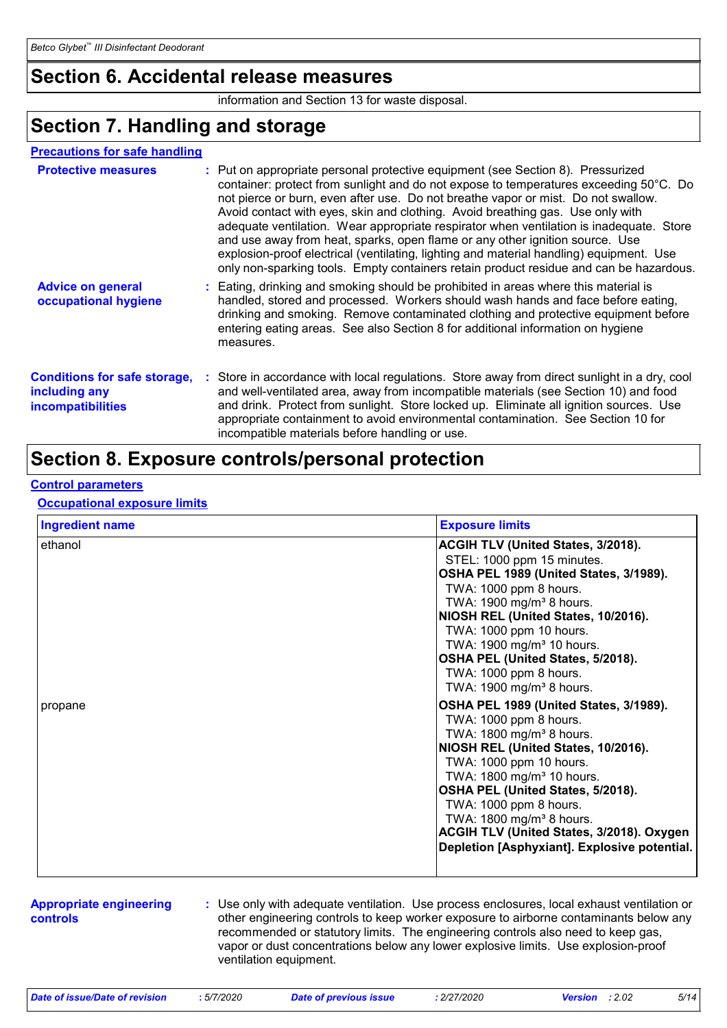### **Section 6. Accidental release measures**

information and Section 13 for waste disposal.

### **Section 7. Handling and storage**

#### **Precautions for safe handling**

| <b>Protective measures</b>                                                       | : Put on appropriate personal protective equipment (see Section 8). Pressurized<br>container: protect from sunlight and do not expose to temperatures exceeding 50°C. Do<br>not pierce or burn, even after use. Do not breathe vapor or mist. Do not swallow.<br>Avoid contact with eyes, skin and clothing. Avoid breathing gas. Use only with<br>adequate ventilation. Wear appropriate respirator when ventilation is inadequate. Store<br>and use away from heat, sparks, open flame or any other ignition source. Use<br>explosion-proof electrical (ventilating, lighting and material handling) equipment. Use<br>only non-sparking tools. Empty containers retain product residue and can be hazardous. |
|----------------------------------------------------------------------------------|-----------------------------------------------------------------------------------------------------------------------------------------------------------------------------------------------------------------------------------------------------------------------------------------------------------------------------------------------------------------------------------------------------------------------------------------------------------------------------------------------------------------------------------------------------------------------------------------------------------------------------------------------------------------------------------------------------------------|
| <b>Advice on general</b><br>occupational hygiene                                 | : Eating, drinking and smoking should be prohibited in areas where this material is<br>handled, stored and processed. Workers should wash hands and face before eating,<br>drinking and smoking. Remove contaminated clothing and protective equipment before<br>entering eating areas. See also Section 8 for additional information on hygiene<br>measures.                                                                                                                                                                                                                                                                                                                                                   |
| <b>Conditions for safe storage,</b><br>including any<br><b>incompatibilities</b> | : Store in accordance with local regulations. Store away from direct sunlight in a dry, cool<br>and well-ventilated area, away from incompatible materials (see Section 10) and food<br>and drink. Protect from sunlight. Store locked up. Eliminate all ignition sources. Use<br>appropriate containment to avoid environmental contamination. See Section 10 for<br>incompatible materials before handling or use.                                                                                                                                                                                                                                                                                            |

### **Section 8. Exposure controls/personal protection**

#### **Control parameters**

#### **Occupational exposure limits**

| <b>Ingredient name</b> | <b>Exposure limits</b>                                                                                                                                                                                              |
|------------------------|---------------------------------------------------------------------------------------------------------------------------------------------------------------------------------------------------------------------|
| ethanol                | <b>ACGIH TLV (United States, 3/2018).</b><br>STEL: 1000 ppm 15 minutes.                                                                                                                                             |
|                        | OSHA PEL 1989 (United States, 3/1989).<br>TWA: 1000 ppm 8 hours.<br>TWA: 1900 mg/m <sup>3</sup> 8 hours.<br>NIOSH REL (United States, 10/2016).<br>TWA: 1000 ppm 10 hours.<br>TWA: 1900 mg/m <sup>3</sup> 10 hours. |
|                        | OSHA PEL (United States, 5/2018).<br>TWA: 1000 ppm 8 hours.<br>TWA: 1900 mg/m <sup>3</sup> 8 hours.                                                                                                                 |
| propane                | OSHA PEL 1989 (United States, 3/1989).<br>TWA: 1000 ppm 8 hours.<br>TWA: 1800 mg/m <sup>3</sup> 8 hours.<br>NIOSH REL (United States, 10/2016).<br>TWA: 1000 ppm 10 hours.<br>TWA: 1800 mg/m <sup>3</sup> 10 hours. |
|                        | OSHA PEL (United States, 5/2018).<br>TWA: 1000 ppm 8 hours.<br>TWA: 1800 mg/m <sup>3</sup> 8 hours.<br>ACGIH TLV (United States, 3/2018). Oxygen<br>Depletion [Asphyxiant]. Explosive potential.                    |

#### **Appropriate engineering controls**

**:** Use only with adequate ventilation. Use process enclosures, local exhaust ventilation or other engineering controls to keep worker exposure to airborne contaminants below any recommended or statutory limits. The engineering controls also need to keep gas, vapor or dust concentrations below any lower explosive limits. Use explosion-proof ventilation equipment.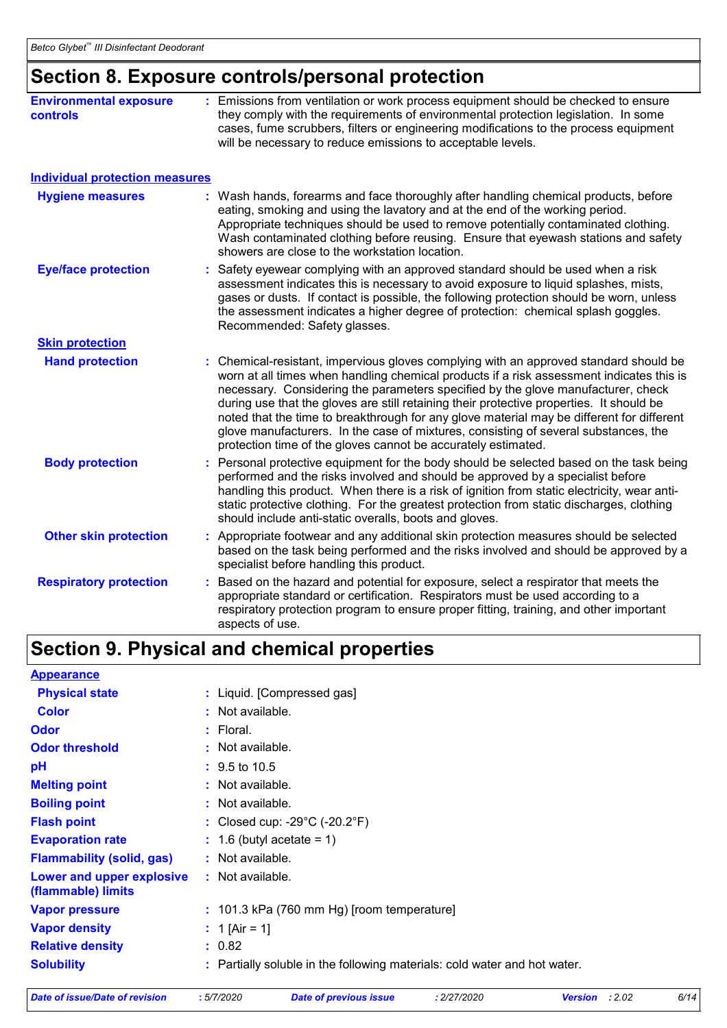# **Section 8. Exposure controls/personal protection**

| <b>Environmental exposure</b><br><b>controls</b> | Emissions from ventilation or work process equipment should be checked to ensure<br>they comply with the requirements of environmental protection legislation. In some<br>cases, fume scrubbers, filters or engineering modifications to the process equipment<br>will be necessary to reduce emissions to acceptable levels.                                                                                                                                                                                                                                                                                        |
|--------------------------------------------------|----------------------------------------------------------------------------------------------------------------------------------------------------------------------------------------------------------------------------------------------------------------------------------------------------------------------------------------------------------------------------------------------------------------------------------------------------------------------------------------------------------------------------------------------------------------------------------------------------------------------|
| <b>Individual protection measures</b>            |                                                                                                                                                                                                                                                                                                                                                                                                                                                                                                                                                                                                                      |
| <b>Hygiene measures</b>                          | : Wash hands, forearms and face thoroughly after handling chemical products, before<br>eating, smoking and using the lavatory and at the end of the working period.<br>Appropriate techniques should be used to remove potentially contaminated clothing.<br>Wash contaminated clothing before reusing. Ensure that eyewash stations and safety<br>showers are close to the workstation location.                                                                                                                                                                                                                    |
| <b>Eye/face protection</b>                       | Safety eyewear complying with an approved standard should be used when a risk<br>assessment indicates this is necessary to avoid exposure to liquid splashes, mists,<br>gases or dusts. If contact is possible, the following protection should be worn, unless<br>the assessment indicates a higher degree of protection: chemical splash goggles.<br>Recommended: Safety glasses.                                                                                                                                                                                                                                  |
| <b>Skin protection</b>                           |                                                                                                                                                                                                                                                                                                                                                                                                                                                                                                                                                                                                                      |
| <b>Hand protection</b>                           | Chemical-resistant, impervious gloves complying with an approved standard should be<br>worn at all times when handling chemical products if a risk assessment indicates this is<br>necessary. Considering the parameters specified by the glove manufacturer, check<br>during use that the gloves are still retaining their protective properties. It should be<br>noted that the time to breakthrough for any glove material may be different for different<br>glove manufacturers. In the case of mixtures, consisting of several substances, the<br>protection time of the gloves cannot be accurately estimated. |
| <b>Body protection</b>                           | Personal protective equipment for the body should be selected based on the task being<br>performed and the risks involved and should be approved by a specialist before<br>handling this product. When there is a risk of ignition from static electricity, wear anti-<br>static protective clothing. For the greatest protection from static discharges, clothing<br>should include anti-static overalls, boots and gloves.                                                                                                                                                                                         |
| <b>Other skin protection</b>                     | : Appropriate footwear and any additional skin protection measures should be selected<br>based on the task being performed and the risks involved and should be approved by a<br>specialist before handling this product.                                                                                                                                                                                                                                                                                                                                                                                            |
| <b>Respiratory protection</b>                    | Based on the hazard and potential for exposure, select a respirator that meets the<br>appropriate standard or certification. Respirators must be used according to a<br>respiratory protection program to ensure proper fitting, training, and other important<br>aspects of use.                                                                                                                                                                                                                                                                                                                                    |

# **Section 9. Physical and chemical properties**

| <b>Appearance</b>                               |                                                                           |
|-------------------------------------------------|---------------------------------------------------------------------------|
| <b>Physical state</b>                           | : Liquid. [Compressed gas]                                                |
| <b>Color</b>                                    | $:$ Not available.                                                        |
| <b>Odor</b>                                     | $:$ Floral.                                                               |
| <b>Odor threshold</b>                           | : Not available.                                                          |
| рH                                              | $\div$ 9.5 to 10.5                                                        |
| <b>Melting point</b>                            | $:$ Not available.                                                        |
| <b>Boiling point</b>                            | $:$ Not available.                                                        |
| <b>Flash point</b>                              | : Closed cup: $-29^{\circ}$ C ( $-20.2^{\circ}$ F)                        |
| <b>Evaporation rate</b>                         | $: 1.6$ (butyl acetate = 1)                                               |
| <b>Flammability (solid, gas)</b>                | $:$ Not available.                                                        |
| Lower and upper explosive<br>(flammable) limits | : Not available.                                                          |
| <b>Vapor pressure</b>                           | $: 101.3$ kPa (760 mm Hg) [room temperature]                              |
| <b>Vapor density</b>                            | : 1 [Air = 1]                                                             |
| <b>Relative density</b>                         | : 0.82                                                                    |
| <b>Solubility</b>                               | : Partially soluble in the following materials: cold water and hot water. |

```
Date of issue/Date of revision : 5/7/2020 Date of previous issue : 2/27/2020 Version : 2.02 6/14
```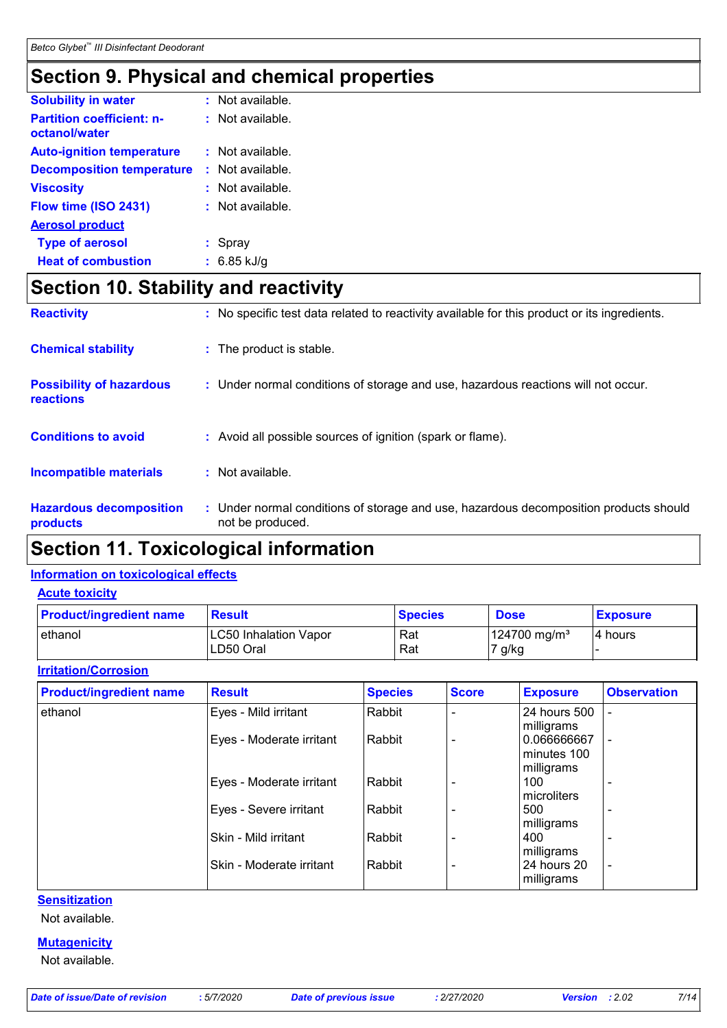# **Section 9. Physical and chemical properties**

| <b>Solubility in water</b>                        | $:$ Not available. |
|---------------------------------------------------|--------------------|
| <b>Partition coefficient: n-</b><br>octanol/water | $:$ Not available. |
| <b>Auto-ignition temperature</b>                  | $:$ Not available. |
| <b>Decomposition temperature</b>                  | $:$ Not available. |
| <b>Viscosity</b>                                  | $:$ Not available. |
| Flow time (ISO 2431)                              | : Not available.   |
| <b>Aerosol product</b>                            |                    |
| <b>Type of aerosol</b>                            | : Spray            |
| <b>Heat of combustion</b>                         | $: 6.85$ kJ/g      |

# **Section 10. Stability and reactivity**

| <b>Reactivity</b>                                   | : No specific test data related to reactivity available for this product or its ingredients.              |
|-----------------------------------------------------|-----------------------------------------------------------------------------------------------------------|
| <b>Chemical stability</b>                           | : The product is stable.                                                                                  |
| <b>Possibility of hazardous</b><br><b>reactions</b> | : Under normal conditions of storage and use, hazardous reactions will not occur.                         |
| <b>Conditions to avoid</b>                          | : Avoid all possible sources of ignition (spark or flame).                                                |
| <b>Incompatible materials</b>                       | : Not available.                                                                                          |
| <b>Hazardous decomposition</b><br>products          | : Under normal conditions of storage and use, hazardous decomposition products should<br>not be produced. |

# **Section 11. Toxicological information**

#### **Information on toxicological effects**

#### **Acute toxicity**

| <b>Product/ingredient name</b> | <b>Result</b>         | <b>Species</b> | <b>Dose</b>             | <b>Exposure</b> |
|--------------------------------|-----------------------|----------------|-------------------------|-----------------|
| ethanol                        | LC50 Inhalation Vapor | Rat            | $124700 \text{ ma/m}^3$ | 14 hours        |
|                                | LD50 Oral             | Rat            | 7 g/kg                  |                 |

#### **Irritation/Corrosion**

| <b>Product/ingredient name</b> | <b>Result</b>            | <b>Species</b> | <b>Score</b> | <b>Exposure</b>                          | <b>Observation</b>       |
|--------------------------------|--------------------------|----------------|--------------|------------------------------------------|--------------------------|
| ethanol                        | Eyes - Mild irritant     | Rabbit         |              | 24 hours 500<br>milligrams               |                          |
|                                | Eyes - Moderate irritant | Rabbit         |              | 0.066666667<br>minutes 100<br>milligrams | ۰                        |
|                                | Eyes - Moderate irritant | Rabbit         |              | 100<br>microliters                       | ۰                        |
|                                | Eyes - Severe irritant   | Rabbit         |              | 500<br>milligrams                        | ٠                        |
|                                | Skin - Mild irritant     | Rabbit         |              | 400<br>milligrams                        | ٠                        |
|                                | Skin - Moderate irritant | Rabbit         |              | 24 hours 20<br>milligrams                | $\overline{\phantom{a}}$ |

**Sensitization**

Not available.

### **Mutagenicity**

Not available.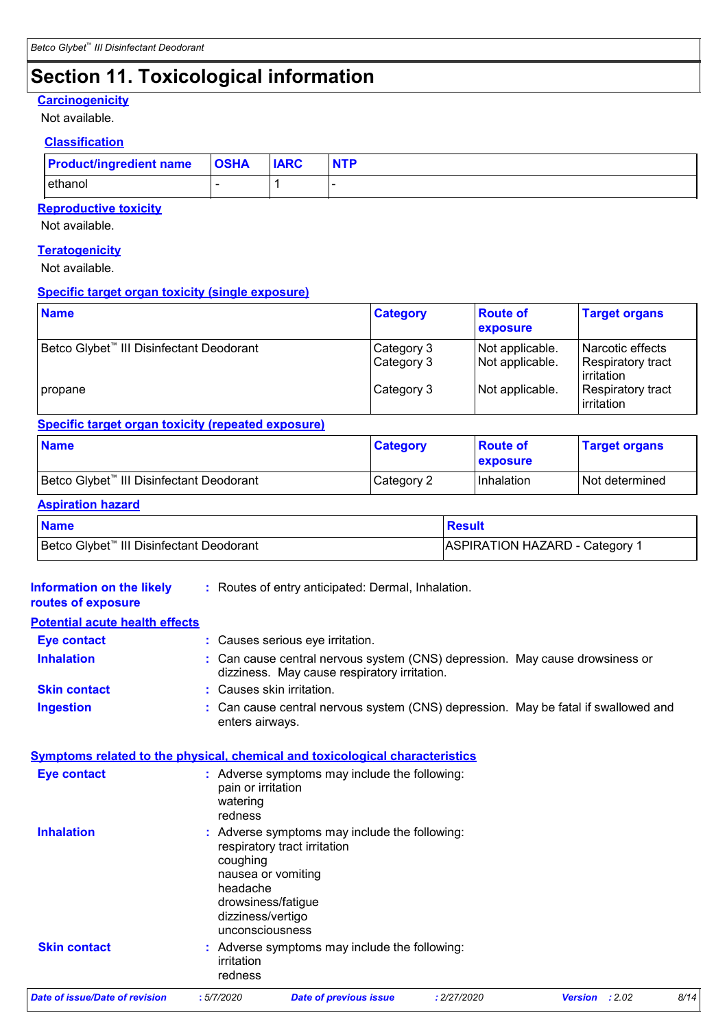# **Section 11. Toxicological information**

#### **Carcinogenicity**

Not available.

#### **Classification**

| <b>Product/ingredient name OSHA</b> | <b>IARC</b> | <b>NTP</b> |
|-------------------------------------|-------------|------------|
| ethanol                             |             |            |

#### **Reproductive toxicity**

Not available.

#### **Teratogenicity**

Not available.

#### **Specific target organ toxicity (single exposure)**

| <b>Name</b>                                          | <b>Category</b>          | <b>Route of</b><br><b>exposure</b> | <b>Target organs</b>                                 |
|------------------------------------------------------|--------------------------|------------------------------------|------------------------------------------------------|
| Betco Glybet <sup>™</sup> III Disinfectant Deodorant | Category 3<br>Category 3 | Not applicable.<br>Not applicable. | Narcotic effects<br>Respiratory tract<br>lirritation |
| propane                                              | Category 3               | Not applicable.                    | Respiratory tract<br>irritation                      |

#### **Specific target organ toxicity (repeated exposure)**

| <b>Name</b>                                          | <b>Category</b> | <b>Route of</b><br><b>exposure</b> | <b>Target organs</b> |
|------------------------------------------------------|-----------------|------------------------------------|----------------------|
| Betco Glybet <sup>™</sup> III Disinfectant Deodorant | Category 2      | Inhalation                         | l Not determined     |

#### **Aspiration hazard**

| <b>Name</b>                                          | Result                         |
|------------------------------------------------------|--------------------------------|
| Betco Glybet <sup>™</sup> III Disinfectant Deodorant | ASPIRATION HAZARD - Category 1 |

| <b>Information on the likely</b><br>routes of exposure | : Routes of entry anticipated: Dermal, Inhalation.                                                                                                                                        |
|--------------------------------------------------------|-------------------------------------------------------------------------------------------------------------------------------------------------------------------------------------------|
| <b>Potential acute health effects</b>                  |                                                                                                                                                                                           |
| <b>Eye contact</b>                                     | : Causes serious eye irritation.                                                                                                                                                          |
| <b>Inhalation</b>                                      | : Can cause central nervous system (CNS) depression. May cause drowsiness or<br>dizziness. May cause respiratory irritation.                                                              |
| <b>Skin contact</b>                                    | : Causes skin irritation.                                                                                                                                                                 |
| <b>Ingestion</b>                                       | : Can cause central nervous system (CNS) depression. May be fatal if swallowed and<br>enters airways.                                                                                     |
|                                                        | <b>Symptoms related to the physical, chemical and toxicological characteristics</b>                                                                                                       |
| <b>Eye contact</b>                                     | : Adverse symptoms may include the following:<br>pain or irritation<br>watering<br>redness                                                                                                |
| <b>Inhalation</b>                                      | : Adverse symptoms may include the following:<br>respiratory tract irritation<br>coughing<br>nausea or vomiting<br>headache<br>drowsiness/fatigue<br>dizziness/vertigo<br>unconsciousness |
| <b>Skin contact</b>                                    | : Adverse symptoms may include the following:<br>irritation<br>redness                                                                                                                    |
| <b>Date of issue/Date of revision</b>                  | 8/14<br>:5/7/2020<br><b>Date of previous issue</b><br>: 2/27/2020<br>Version : 2.02                                                                                                       |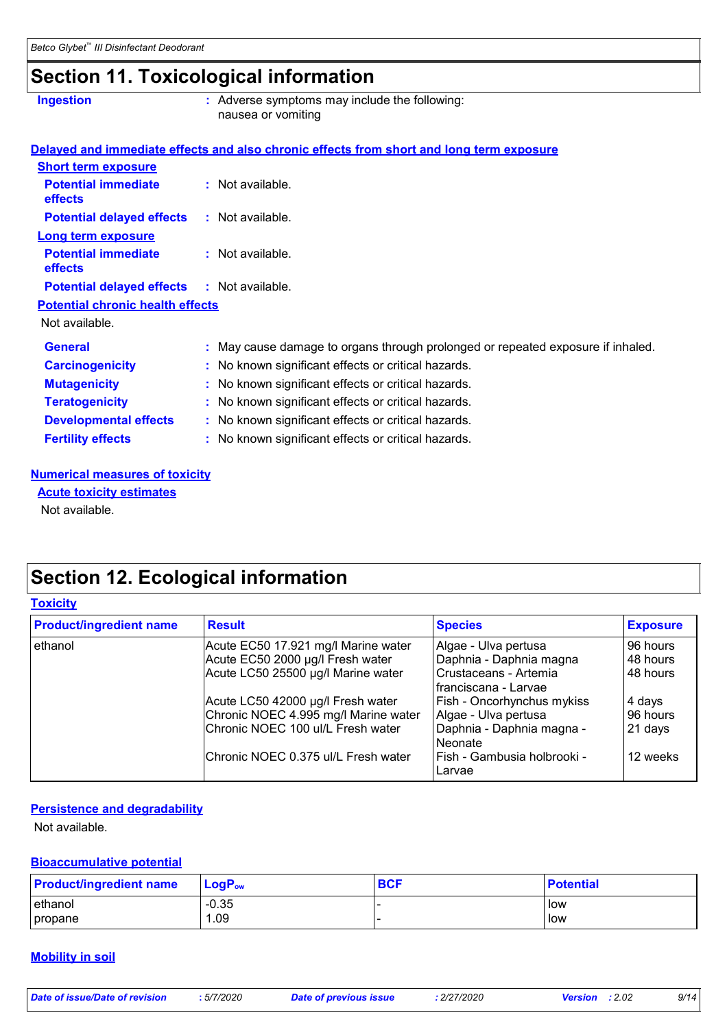# **Section 11. Toxicological information**

| <b>Ingestion</b>                             | : Adverse symptoms may include the following:<br>nausea or vomiting                      |
|----------------------------------------------|------------------------------------------------------------------------------------------|
|                                              | Delayed and immediate effects and also chronic effects from short and long term exposure |
| <b>Short term exposure</b>                   |                                                                                          |
| <b>Potential immediate</b><br>effects        | : Not available.                                                                         |
| <b>Potential delayed effects</b>             | : Not available.                                                                         |
| <b>Long term exposure</b>                    |                                                                                          |
| <b>Potential immediate</b><br><b>effects</b> | : Not available.                                                                         |
| <b>Potential delayed effects</b>             | : Not available.                                                                         |
| <b>Potential chronic health effects</b>      |                                                                                          |
| Not available.                               |                                                                                          |
| <b>General</b>                               | : May cause damage to organs through prolonged or repeated exposure if inhaled.          |
| <b>Carcinogenicity</b>                       | : No known significant effects or critical hazards.                                      |
| <b>Mutagenicity</b>                          | : No known significant effects or critical hazards.                                      |
| <b>Teratogenicity</b>                        | : No known significant effects or critical hazards.                                      |
| <b>Developmental effects</b>                 | : No known significant effects or critical hazards.                                      |
| <b>Fertility effects</b>                     | : No known significant effects or critical hazards.                                      |

#### **Numerical measures of toxicity**

**Acute toxicity estimates**

Not available.

# **Section 12. Ecological information**

#### **Toxicity**

| <b>Product/ingredient name</b> | <b>Result</b>                        | <b>Species</b>                        | <b>Exposure</b> |
|--------------------------------|--------------------------------------|---------------------------------------|-----------------|
| ethanol                        | Acute EC50 17.921 mg/l Marine water  | Algae - Ulva pertusa                  | 96 hours        |
|                                | Acute EC50 2000 µg/l Fresh water     | Daphnia - Daphnia magna               | 48 hours        |
|                                | Acute LC50 25500 µg/l Marine water   | Crustaceans - Artemia                 | 48 hours        |
|                                |                                      | I franciscana - Larvae                |                 |
|                                | Acute LC50 42000 µg/l Fresh water    | Fish - Oncorhynchus mykiss            | 4 days          |
|                                | Chronic NOEC 4.995 mg/l Marine water | Algae - Ulva pertusa                  | 96 hours        |
|                                | Chronic NOEC 100 ul/L Fresh water    | Daphnia - Daphnia magna -<br>Neonate  | 21 days         |
|                                | Chronic NOEC 0.375 ul/L Fresh water  | Fish - Gambusia holbrooki -<br>Larvae | 12 weeks        |

#### **Persistence and degradability**

Not available.

#### **Bioaccumulative potential**

| <b>Product/ingredient name</b> | $LogPow$ | <b>BCF</b> | <b>Potential</b> |
|--------------------------------|----------|------------|------------------|
| ethanol                        | $-0.35$  |            | low              |
| propane                        | .09      |            | low              |

#### **Mobility in soil**

| Date of issue/Date of revision | .5/7/2020 | Date of previous issue | 2/27/2020 | <b>Version</b> : $2.02$ | 9/14 |
|--------------------------------|-----------|------------------------|-----------|-------------------------|------|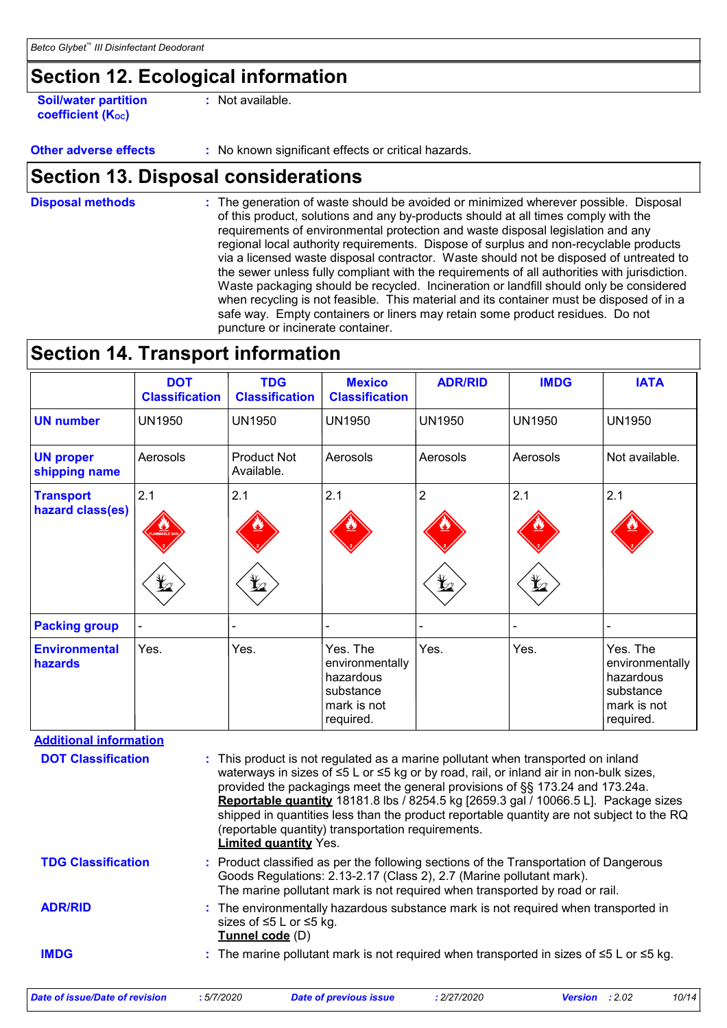# **Section 12. Ecological information**

**Soil/water partition coefficient (Koc) :** Not available.

**Other adverse effects** : No known significant effects or critical hazards.

### **Section 13. Disposal considerations**

The generation of waste should be avoided or minimized wherever possible. Disposal of this product, solutions and any by-products should at all times comply with the requirements of environmental protection and waste disposal legislation and any regional local authority requirements. Dispose of surplus and non-recyclable products via a licensed waste disposal contractor. Waste should not be disposed of untreated to the sewer unless fully compliant with the requirements of all authorities with jurisdiction. Waste packaging should be recycled. Incineration or landfill should only be considered when recycling is not feasible. This material and its container must be disposed of in a safe way. Empty containers or liners may retain some product residues. Do not puncture or incinerate container. **Disposal methods :**

### **Section 14. Transport information**

|                                      | <b>DOT</b><br><b>Classification</b> | <b>TDG</b><br><b>Classification</b> | <b>Mexico</b><br><b>Classification</b>                                            | <b>ADR/RID</b>      | <b>IMDG</b>       | <b>IATA</b>                                                                       |
|--------------------------------------|-------------------------------------|-------------------------------------|-----------------------------------------------------------------------------------|---------------------|-------------------|-----------------------------------------------------------------------------------|
| <b>UN number</b>                     | <b>UN1950</b>                       | <b>UN1950</b>                       | <b>UN1950</b>                                                                     | <b>UN1950</b>       | <b>UN1950</b>     | <b>UN1950</b>                                                                     |
| <b>UN proper</b><br>shipping name    | Aerosols                            | <b>Product Not</b><br>Available.    | Aerosols                                                                          | Aerosols            | Aerosols          | Not available.                                                                    |
| <b>Transport</b><br>hazard class(es) | 2.1<br><b>MMABLE</b><br>$\bigstar$  | 2.1<br>$\bigstar$                   | 2.1                                                                               | $\overline{2}$<br>墏 | 2.1<br>$\bigstar$ | 2.1                                                                               |
| <b>Packing group</b>                 |                                     |                                     |                                                                                   |                     |                   |                                                                                   |
| <b>Environmental</b><br>hazards      | Yes.                                | Yes.                                | Yes. The<br>environmentally<br>hazardous<br>substance<br>mark is not<br>required. | Yes.                | Yes.              | Yes. The<br>environmentally<br>hazardous<br>substance<br>mark is not<br>required. |

**Additional information**

| <b>DOT Classification</b>             |                 | : This product is not regulated as a marine pollutant when transported on inland<br>waterways in sizes of ≤5 L or ≤5 kg or by road, rail, or inland air in non-bulk sizes,<br>provided the packagings meet the general provisions of §§ 173.24 and 173.24a.<br><b>Reportable quantity</b> 18181.8 lbs / 8254.5 kg [2659.3 gal / 10066.5 L]. Package sizes<br>shipped in quantities less than the product reportable quantity are not subject to the RQ<br>(reportable quantity) transportation requirements.<br><b>Limited quantity Yes.</b> |             |                       |       |  |
|---------------------------------------|-----------------|----------------------------------------------------------------------------------------------------------------------------------------------------------------------------------------------------------------------------------------------------------------------------------------------------------------------------------------------------------------------------------------------------------------------------------------------------------------------------------------------------------------------------------------------|-------------|-----------------------|-------|--|
| <b>TDG Classification</b>             |                 | : Product classified as per the following sections of the Transportation of Dangerous<br>Goods Regulations: 2.13-2.17 (Class 2), 2.7 (Marine pollutant mark).<br>The marine pollutant mark is not required when transported by road or rail.                                                                                                                                                                                                                                                                                                 |             |                       |       |  |
| <b>ADR/RID</b>                        | Tunnel code (D) | : The environmentally hazardous substance mark is not required when transported in<br>sizes of $\leq 5$ L or $\leq 5$ kg.                                                                                                                                                                                                                                                                                                                                                                                                                    |             |                       |       |  |
| <b>IMDG</b>                           |                 | : The marine pollutant mark is not required when transported in sizes of $\leq 5$ L or $\leq 5$ kg.                                                                                                                                                                                                                                                                                                                                                                                                                                          |             |                       |       |  |
| <b>Date of issue/Date of revision</b> | :5/7/2020       | Date of previous issue                                                                                                                                                                                                                                                                                                                                                                                                                                                                                                                       | : 2/27/2020 | <b>Version</b> : 2.02 | 10/14 |  |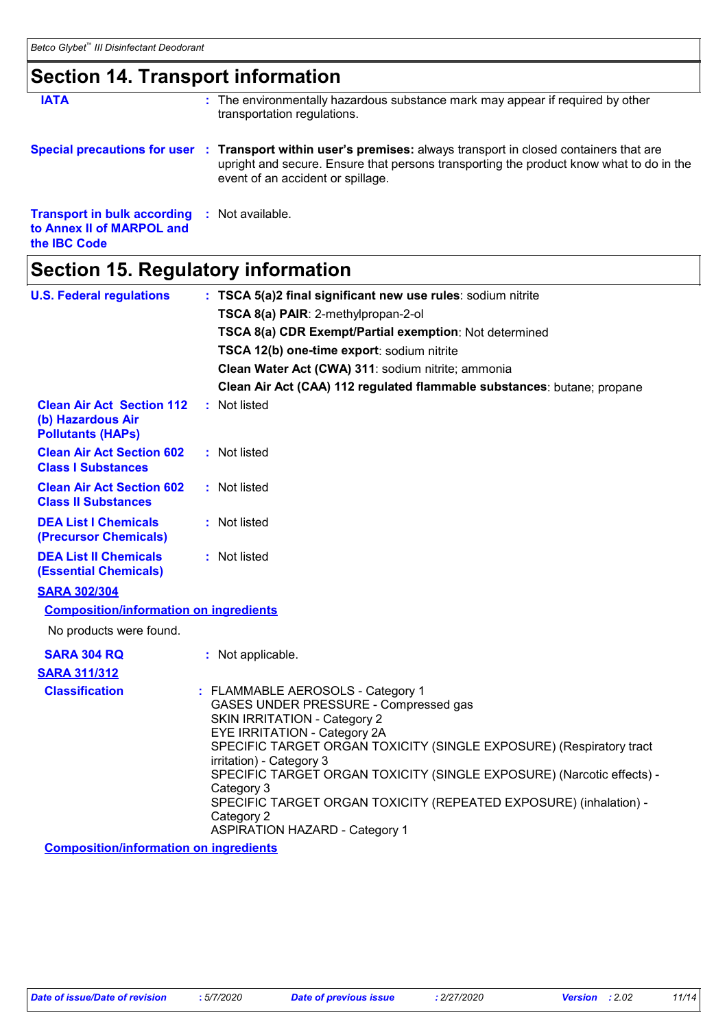# **Section 14. Transport information**

| <b>IATA</b>                                                                            | : The environmentally hazardous substance mark may appear if required by other<br>transportation regulations.                                                                                                                                   |
|----------------------------------------------------------------------------------------|-------------------------------------------------------------------------------------------------------------------------------------------------------------------------------------------------------------------------------------------------|
|                                                                                        | Special precautions for user : Transport within user's premises: always transport in closed containers that are<br>upright and secure. Ensure that persons transporting the product know what to do in the<br>event of an accident or spillage. |
| <b>Transport in bulk according</b><br>to Annex II of MARPOL and<br>the <b>IBC</b> Code | : Not available.                                                                                                                                                                                                                                |

# **Section 15. Regulatory information**

| <b>U.S. Federal regulations</b>                                                   | : TSCA 5(a)2 final significant new use rules: sodium nitrite<br>TSCA 8(a) PAIR: 2-methylpropan-2-ol                                                                                                                                                                                                                                                                                                                                                                     |
|-----------------------------------------------------------------------------------|-------------------------------------------------------------------------------------------------------------------------------------------------------------------------------------------------------------------------------------------------------------------------------------------------------------------------------------------------------------------------------------------------------------------------------------------------------------------------|
|                                                                                   | TSCA 8(a) CDR Exempt/Partial exemption: Not determined                                                                                                                                                                                                                                                                                                                                                                                                                  |
|                                                                                   | TSCA 12(b) one-time export: sodium nitrite                                                                                                                                                                                                                                                                                                                                                                                                                              |
|                                                                                   | Clean Water Act (CWA) 311: sodium nitrite; ammonia                                                                                                                                                                                                                                                                                                                                                                                                                      |
|                                                                                   | Clean Air Act (CAA) 112 regulated flammable substances: butane; propane                                                                                                                                                                                                                                                                                                                                                                                                 |
| <b>Clean Air Act Section 112</b><br>(b) Hazardous Air<br><b>Pollutants (HAPs)</b> | : Not listed                                                                                                                                                                                                                                                                                                                                                                                                                                                            |
| <b>Clean Air Act Section 602</b><br><b>Class I Substances</b>                     | : Not listed                                                                                                                                                                                                                                                                                                                                                                                                                                                            |
| <b>Clean Air Act Section 602</b><br><b>Class II Substances</b>                    | : Not listed                                                                                                                                                                                                                                                                                                                                                                                                                                                            |
| <b>DEA List I Chemicals</b><br>(Precursor Chemicals)                              | : Not listed                                                                                                                                                                                                                                                                                                                                                                                                                                                            |
| <b>DEA List II Chemicals</b><br><b>(Essential Chemicals)</b>                      | : Not listed                                                                                                                                                                                                                                                                                                                                                                                                                                                            |
| <b>SARA 302/304</b>                                                               |                                                                                                                                                                                                                                                                                                                                                                                                                                                                         |
| <b>Composition/information on ingredients</b>                                     |                                                                                                                                                                                                                                                                                                                                                                                                                                                                         |
| No products were found.                                                           |                                                                                                                                                                                                                                                                                                                                                                                                                                                                         |
| <b>SARA 304 RQ</b>                                                                | : Not applicable.                                                                                                                                                                                                                                                                                                                                                                                                                                                       |
| <b>SARA 311/312</b>                                                               |                                                                                                                                                                                                                                                                                                                                                                                                                                                                         |
| <b>Classification</b>                                                             | : FLAMMABLE AEROSOLS - Category 1<br>GASES UNDER PRESSURE - Compressed gas<br><b>SKIN IRRITATION - Category 2</b><br>EYE IRRITATION - Category 2A<br>SPECIFIC TARGET ORGAN TOXICITY (SINGLE EXPOSURE) (Respiratory tract<br>irritation) - Category 3<br>SPECIFIC TARGET ORGAN TOXICITY (SINGLE EXPOSURE) (Narcotic effects) -<br>Category 3<br>SPECIFIC TARGET ORGAN TOXICITY (REPEATED EXPOSURE) (inhalation) -<br>Category 2<br><b>ASPIRATION HAZARD - Category 1</b> |
| <b>Composition/information on ingredients</b>                                     |                                                                                                                                                                                                                                                                                                                                                                                                                                                                         |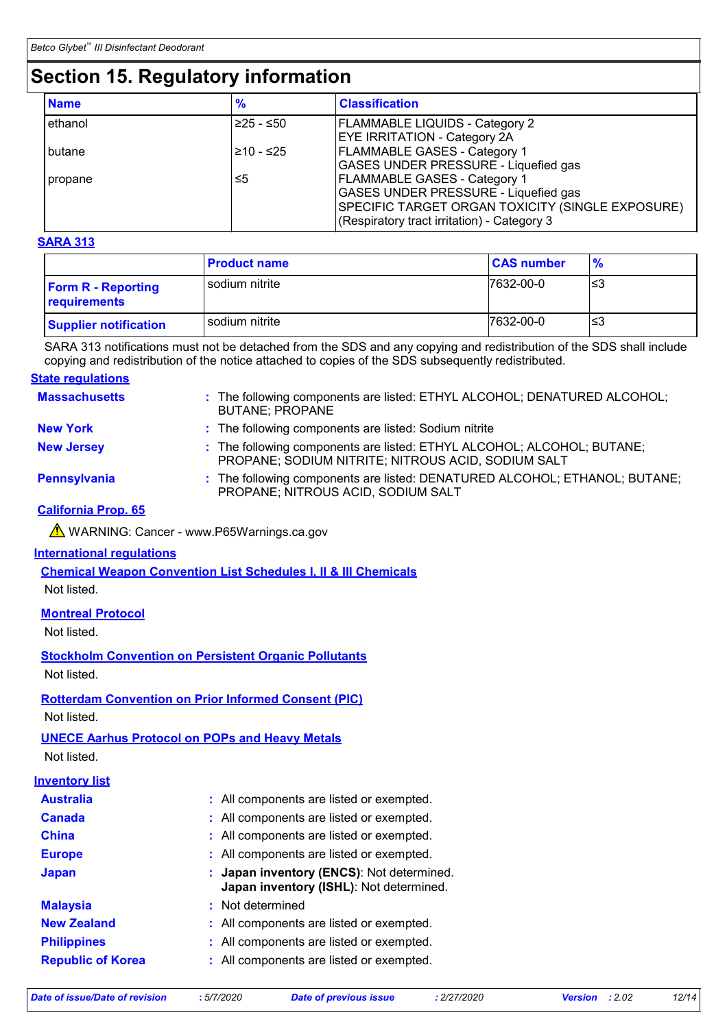# **Section 15. Regulatory information**

| <b>Name</b> | $\frac{9}{6}$ | <b>Classification</b>                                                                                                                                                                 |
|-------------|---------------|---------------------------------------------------------------------------------------------------------------------------------------------------------------------------------------|
| ethanol     | $≥25 - ≤50$   | <b>FLAMMABLE LIQUIDS - Category 2</b><br><b>EYE IRRITATION - Category 2A</b>                                                                                                          |
| butane      | l≥10 - ≤25    | <b>FLAMMABLE GASES - Category 1</b><br><b>GASES UNDER PRESSURE - Liquefied gas</b>                                                                                                    |
| propane     | ≤5            | <b>FLAMMABLE GASES - Category 1</b><br><b>GASES UNDER PRESSURE - Liquefied gas</b><br>SPECIFIC TARGET ORGAN TOXICITY (SINGLE EXPOSURE)<br>(Respiratory tract irritation) - Category 3 |

#### **SARA 313**

|                                           | <b>Product name</b> | <b>CAS number</b> | $\frac{9}{6}$ |
|-------------------------------------------|---------------------|-------------------|---------------|
| <b>Form R - Reporting</b><br>requirements | sodium nitrite      | 7632-00-0         | ՝≤3           |
| <b>Supplier notification</b>              | sodium nitrite      | 7632-00-0         | '≤3           |

SARA 313 notifications must not be detached from the SDS and any copying and redistribution of the SDS shall include copying and redistribution of the notice attached to copies of the SDS subsequently redistributed.

#### **State regulations**

| <b>Massachusetts</b> | : The following components are listed: ETHYL ALCOHOL; DENATURED ALCOHOL;<br><b>BUTANE; PROPANE</b>                           |
|----------------------|------------------------------------------------------------------------------------------------------------------------------|
| <b>New York</b>      | : The following components are listed: Sodium nitrite                                                                        |
| <b>New Jersey</b>    | : The following components are listed: ETHYL ALCOHOL; ALCOHOL; BUTANE;<br>PROPANE; SODIUM NITRITE; NITROUS ACID, SODIUM SALT |
| Pennsylvania         | : The following components are listed: DENATURED ALCOHOL; ETHANOL; BUTANE;<br>PROPANE; NITROUS ACID, SODIUM SALT             |

#### **California Prop. 65**

▲ WARNING: Cancer - www.P65Warnings.ca.gov

#### **International regulations**

**Chemical Weapon Convention List Schedules I, II & III Chemicals**

Not listed.

#### **Montreal Protocol**

Not listed.

**Stockholm Convention on Persistent Organic Pollutants**

Not listed.

#### **Rotterdam Convention on Prior Informed Consent (PIC)**

Not listed.

#### **UNECE Aarhus Protocol on POPs and Heavy Metals**

Not listed.

#### **Inventory list**

| <b>Australia</b>         | : All components are listed or exempted.                                             |
|--------------------------|--------------------------------------------------------------------------------------|
| <b>Canada</b>            | : All components are listed or exempted.                                             |
| <b>China</b>             | : All components are listed or exempted.                                             |
| <b>Europe</b>            | : All components are listed or exempted.                                             |
| <b>Japan</b>             | : Japan inventory (ENCS): Not determined.<br>Japan inventory (ISHL): Not determined. |
| <b>Malaysia</b>          | : Not determined                                                                     |
| <b>New Zealand</b>       | : All components are listed or exempted.                                             |
| <b>Philippines</b>       | : All components are listed or exempted.                                             |
| <b>Republic of Korea</b> | : All components are listed or exempted.                                             |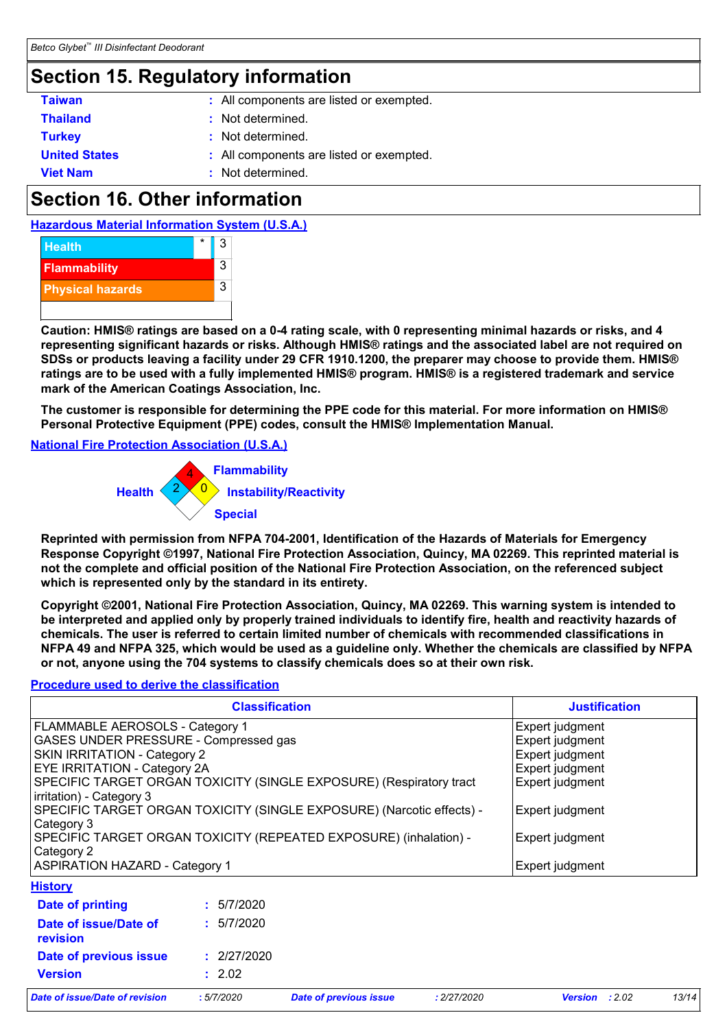### **Section 15. Regulatory information**

| <b>Taiwan</b>        | : All components are listed or exempted. |
|----------------------|------------------------------------------|
| <b>Thailand</b>      | : Not determined.                        |
| <b>Turkey</b>        | : Not determined.                        |
| <b>United States</b> | : All components are listed or exempted. |
| <b>Viet Nam</b>      | : Not determined.                        |

# **Section 16. Other information**





**Caution: HMIS® ratings are based on a 0-4 rating scale, with 0 representing minimal hazards or risks, and 4 representing significant hazards or risks. Although HMIS® ratings and the associated label are not required on SDSs or products leaving a facility under 29 CFR 1910.1200, the preparer may choose to provide them. HMIS® ratings are to be used with a fully implemented HMIS® program. HMIS® is a registered trademark and service mark of the American Coatings Association, Inc.**

**The customer is responsible for determining the PPE code for this material. For more information on HMIS® Personal Protective Equipment (PPE) codes, consult the HMIS® Implementation Manual.**

#### **National Fire Protection Association (U.S.A.)**



**Reprinted with permission from NFPA 704-2001, Identification of the Hazards of Materials for Emergency Response Copyright ©1997, National Fire Protection Association, Quincy, MA 02269. This reprinted material is not the complete and official position of the National Fire Protection Association, on the referenced subject which is represented only by the standard in its entirety.**

**Copyright ©2001, National Fire Protection Association, Quincy, MA 02269. This warning system is intended to be interpreted and applied only by properly trained individuals to identify fire, health and reactivity hazards of chemicals. The user is referred to certain limited number of chemicals with recommended classifications in NFPA 49 and NFPA 325, which would be used as a guideline only. Whether the chemicals are classified by NFPA or not, anyone using the 704 systems to classify chemicals does so at their own risk.**

#### **Procedure used to derive the classification**

| <b>Classification</b>                                                 |             | <b>Justification</b> |
|-----------------------------------------------------------------------|-------------|----------------------|
| <b>FLAMMABLE AEROSOLS - Category 1</b>                                |             | Expert judgment      |
| GASES UNDER PRESSURE - Compressed gas                                 |             | Expert judgment      |
| <b>SKIN IRRITATION - Category 2</b>                                   |             | Expert judgment      |
| EYE IRRITATION - Category 2A                                          |             | Expert judgment      |
| SPECIFIC TARGET ORGAN TOXICITY (SINGLE EXPOSURE) (Respiratory tract   |             | Expert judgment      |
| irritation) - Category 3                                              |             |                      |
| SPECIFIC TARGET ORGAN TOXICITY (SINGLE EXPOSURE) (Narcotic effects) - |             | Expert judgment      |
| Category 3                                                            |             |                      |
| SPECIFIC TARGET ORGAN TOXICITY (REPEATED EXPOSURE) (inhalation) -     |             | Expert judgment      |
| Category 2                                                            |             |                      |
| <b>ASPIRATION HAZARD - Category 1</b>                                 |             | Expert judgment      |
| <b>History</b>                                                        |             |                      |
| Date of printing                                                      | : 5/7/2020  |                      |
| Date of issue/Date of                                                 | : 5/7/2020  |                      |
| <b>revision</b>                                                       |             |                      |
| Date of previous issue                                                | : 2/27/2020 |                      |
| <b>Version</b>                                                        | : 2.02      |                      |

*Date of issue/Date of revision* **:** *5/7/2020 Date of previous issue : 2/27/2020 Version : 2.02 13/14*